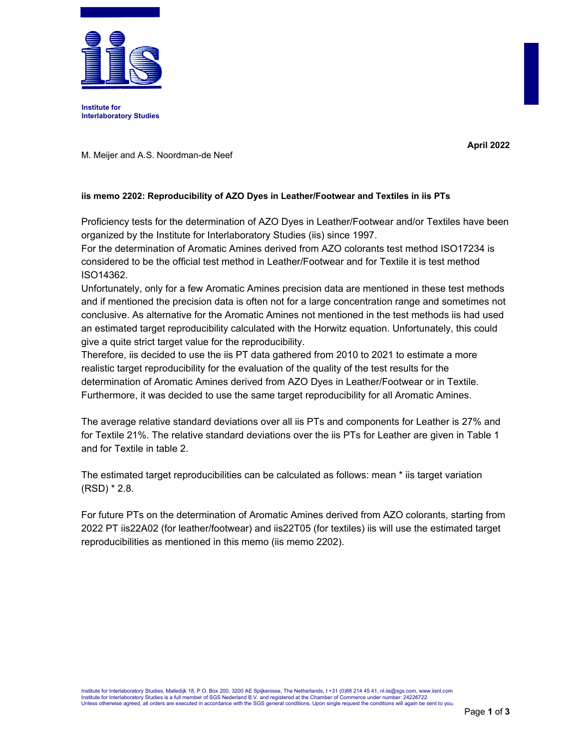

**Institute for Interlaboratory Studies** 

**April 2022**

M. Meijer and A.S. Noordman-de Neef

## **iis memo 2202: Reproducibility of AZO Dyes in Leather/Footwear and Textiles in iis PTs**

Proficiency tests for the determination of AZO Dyes in Leather/Footwear and/or Textiles have been organized by the Institute for Interlaboratory Studies (iis) since 1997.

For the determination of Aromatic Amines derived from AZO colorants test method ISO17234 is considered to be the official test method in Leather/Footwear and for Textile it is test method ISO14362.

Unfortunately, only for a few Aromatic Amines precision data are mentioned in these test methods and if mentioned the precision data is often not for a large concentration range and sometimes not conclusive. As alternative for the Aromatic Amines not mentioned in the test methods iis had used an estimated target reproducibility calculated with the Horwitz equation. Unfortunately, this could give a quite strict target value for the reproducibility.

Therefore, iis decided to use the iis PT data gathered from 2010 to 2021 to estimate a more realistic target reproducibility for the evaluation of the quality of the test results for the determination of Aromatic Amines derived from AZO Dyes in Leather/Footwear or in Textile. Furthermore, it was decided to use the same target reproducibility for all Aromatic Amines.

The average relative standard deviations over all iis PTs and components for Leather is 27% and for Textile 21%. The relative standard deviations over the iis PTs for Leather are given in Table 1 and for Textile in table 2.

The estimated target reproducibilities can be calculated as follows: mean \* iis target variation (RSD) \* 2.8.

For future PTs on the determination of Aromatic Amines derived from AZO colorants, starting from 2022 PT iis22A02 (for leather/footwear) and iis22T05 (for textiles) iis will use the estimated target reproducibilities as mentioned in this memo (iis memo 2202).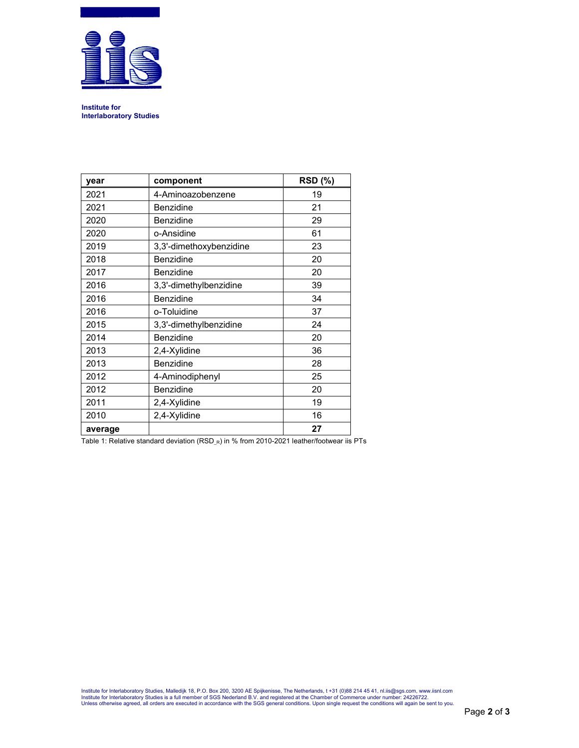

**Institute for Interlaboratory Studies** 

| year    | component               | <b>RSD (%)</b> |
|---------|-------------------------|----------------|
| 2021    | 4-Aminoazobenzene       | 19             |
| 2021    | Benzidine               | 21             |
| 2020    | <b>Benzidine</b>        | 29             |
| 2020    | o-Ansidine              | 61             |
| 2019    | 3,3'-dimethoxybenzidine | 23             |
| 2018    | <b>Benzidine</b>        | 20             |
| 2017    | <b>Benzidine</b>        | 20             |
| 2016    | 3,3'-dimethylbenzidine  | 39             |
| 2016    | Benzidine               | 34             |
| 2016    | o-Toluidine             | 37             |
| 2015    | 3,3'-dimethylbenzidine  | 24             |
| 2014    | Benzidine               | 20             |
| 2013    | 2,4-Xylidine            | 36             |
| 2013    | Benzidine               | 28             |
| 2012    | 4-Aminodiphenyl         | 25             |
| 2012    | <b>Benzidine</b>        | 20             |
| 2011    | 2,4-Xylidine            | 19             |
| 2010    | 2,4-Xylidine            | 16             |
| average |                         | 27             |

Table 1: Relative standard deviation (RSD\_R) in % from 2010-2021 leather/footwear iis PTs